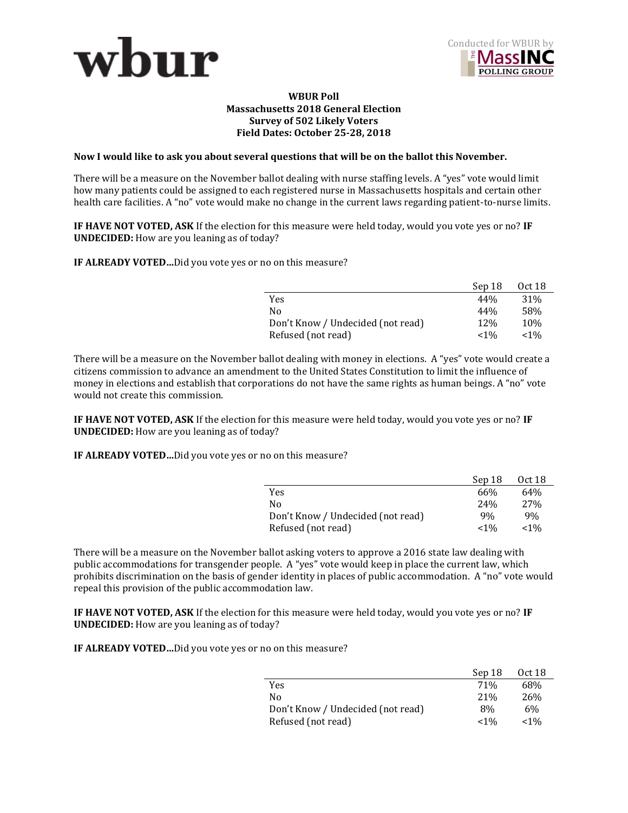



## **WBUR Poll Massachusetts 2018 General Election Survey of 502 Likely Voters Field Dates: October 25-28, 2018**

## **Now I would like to ask you about several questions that will be on the ballot this November.**

There will be a measure on the November ballot dealing with nurse staffing levels. A "yes" vote would limit how many patients could be assigned to each registered nurse in Massachusetts hospitals and certain other health care facilities. A "no" vote would make no change in the current laws regarding patient-to-nurse limits.

**IF HAVE NOT VOTED, ASK** If the election for this measure were held today, would you vote yes or no? **IF UNDECIDED:** How are you leaning as of today?

**IF ALREADY VOTED…**Did you vote yes or no on this measure?

|                                   | Sep 18     | Oct 18          |
|-----------------------------------|------------|-----------------|
| Yes.                              | 44%        | 31 <sup>%</sup> |
| No                                | 44%        | 58%             |
| Don't Know / Undecided (not read) | <b>12%</b> | 10%             |
| Refused (not read)                | $< 1\%$    | $< 1\%$         |

There will be a measure on the November ballot dealing with money in elections. A "yes" vote would create a citizens commission to advance an amendment to the United States Constitution to limit the influence of money in elections and establish that corporations do not have the same rights as human beings. A "no" vote would not create this commission.

**IF HAVE NOT VOTED, ASK** If the election for this measure were held today, would you vote yes or no? **IF UNDECIDED:** How are you leaning as of today?

**IF ALREADY VOTED…**Did you vote yes or no on this measure?

|                                   | Sep 18          | Oct 18          |
|-----------------------------------|-----------------|-----------------|
| Yes                               | 66%             | 64%             |
| Nο                                | 24 <sup>%</sup> | 27 <sub>%</sub> |
| Don't Know / Undecided (not read) | 9%              | 9%              |
| Refused (not read)                | $< 1\%$         | $< 1\%$         |

There will be a measure on the November ballot asking voters to approve a 2016 state law dealing with public accommodations for transgender people. A "yes" vote would keep in place the current law, which prohibits discrimination on the basis of gender identity in places of public accommodation. A "no" vote would repeal this provision of the public accommodation law.

**IF HAVE NOT VOTED, ASK** If the election for this measure were held today, would you vote yes or no? **IF UNDECIDED:** How are you leaning as of today?

**IF ALREADY VOTED…**Did you vote yes or no on this measure?

|                                   | Sep 18  | 0ct 18          |
|-----------------------------------|---------|-----------------|
| Yes                               | 71%     | 68%             |
| No                                | 21%     | 26 <sub>%</sub> |
| Don't Know / Undecided (not read) | 8%      | 6%              |
| Refused (not read)                | $< 1\%$ | $< 1\%$         |